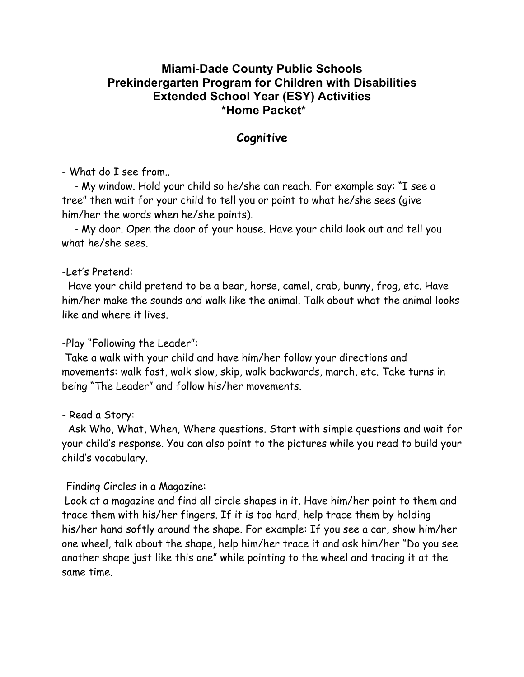## **Miami-Dade County Public Schools Prekindergarten Program for Children with Disabilities Extended School Year (ESY) Activities \*Home Packet\***

## **Cognitive**

- What do I see from..

 - My window. Hold your child so he/she can reach. For example say: "I see a tree" then wait for your child to tell you or point to what he/she sees (give him/her the words when he/she points).

 - My door. Open the door of your house. Have your child look out and tell you what he/she sees.

#### -Let's Pretend:

 Have your child pretend to be a bear, horse, camel, crab, bunny, frog, etc. Have him/her make the sounds and walk like the animal. Talk about what the animal looks like and where it lives.

#### -Play "Following the Leader":

Take a walk with your child and have him/her follow your directions and movements: walk fast, walk slow, skip, walk backwards, march, etc. Take turns in being "The Leader" and follow his/her movements.

#### - Read a Story:

 Ask Who, What, When, Where questions. Start with simple questions and wait for your child's response. You can also point to the pictures while you read to build your child's vocabulary.

#### -Finding Circles in a Magazine:

Look at a magazine and find all circle shapes in it. Have him/her point to them and trace them with his/her fingers. If it is too hard, help trace them by holding his/her hand softly around the shape. For example: If you see a car, show him/her one wheel, talk about the shape, help him/her trace it and ask him/her "Do you see another shape just like this one" while pointing to the wheel and tracing it at the same time.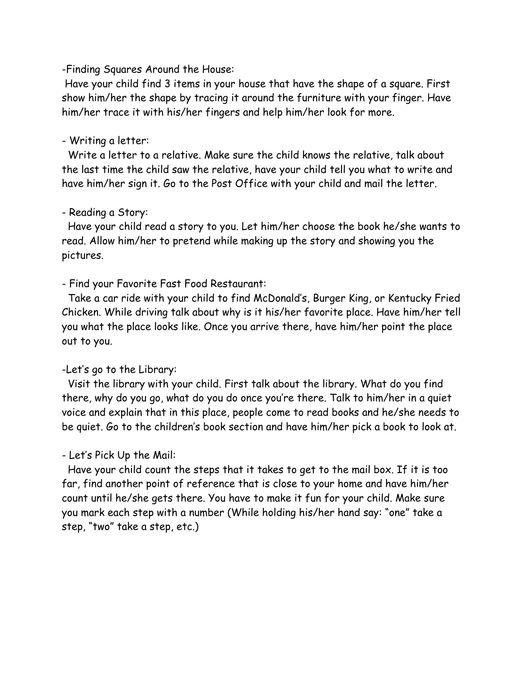-Finding Squares Around the House:

Have your child find 3 items in your house that have the shape of a square. First show him/her the shape by tracing it around the furniture with your finger. Have him/her trace it with his/her fingers and help him/her look for more.

#### - Writing a letter:

 Write a letter to a relative. Make sure the child knows the relative, talk about the last time the child saw the relative, have your child tell you what to write and have him/her sign it. Go to the Post Office with your child and mail the letter.

#### - Reading a Story:

 Have your child read a story to you. Let him/her choose the book he/she wants to read. Allow him/her to pretend while making up the story and showing you the pictures.

#### - Find your Favorite Fast Food Restaurant:

 Take a car ride with your child to find McDonald's, Burger King, or Kentucky Fried Chicken. While driving talk about why is it his/her favorite place. Have him/her tell you what the place looks like. Once you arrive there, have him/her point the place out to you.

#### -Let's go to the Library:

 Visit the library with your child. First talk about the library. What do you find there, why do you go, what do you do once you're there. Talk to him/her in a quiet voice and explain that in this place, people come to read books and he/she needs to be quiet. Go to the children's book section and have him/her pick a book to look at.

#### - Let's Pick Up the Mail:

 Have your child count the steps that it takes to get to the mail box. If it is too far, find another point of reference that is close to your home and have him/her count until he/she gets there. You have to make it fun for your child. Make sure you mark each step with a number (While holding his/her hand say: "one" take a step, "two" take a step, etc.)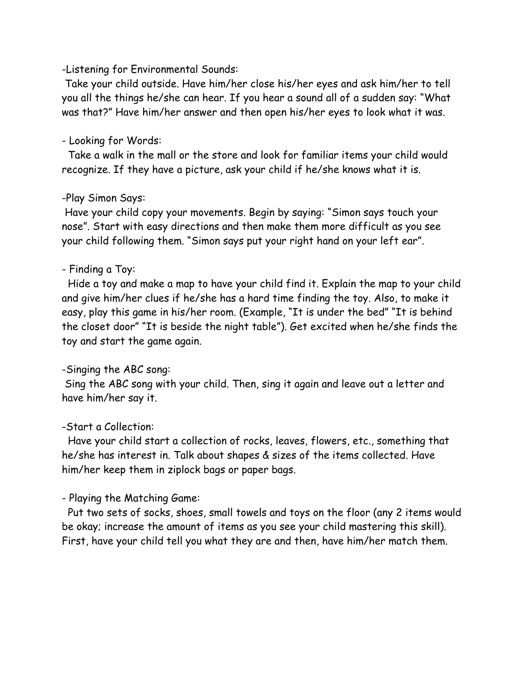### -Listening for Environmental Sounds:

Take your child outside. Have him/her close his/her eyes and ask him/her to tell you all the things he/she can hear. If you hear a sound all of a sudden say: "What was that?" Have him/her answer and then open his/her eyes to look what it was.

## - Looking for Words:

 Take a walk in the mall or the store and look for familiar items your child would recognize. If they have a picture, ask your child if he/she knows what it is.

## -Play Simon Says:

Have your child copy your movements. Begin by saying: "Simon says touch your nose". Start with easy directions and then make them more difficult as you see your child following them. "Simon says put your right hand on your left ear".

## - Finding a Toy:

 Hide a toy and make a map to have your child find it. Explain the map to your child and give him/her clues if he/she has a hard time finding the toy. Also, to make it easy, play this game in his/her room. (Example, "It is under the bed" "It is behind the closet door" "It is beside the night table"). Get excited when he/she finds the toy and start the game again.

# -Singing the ABC song:

Sing the ABC song with your child. Then, sing it again and leave out a letter and have him/her say it.

# -Start a Collection:

Have your child start a collection of rocks, leaves, flowers, etc., something that he/she has interest in. Talk about shapes & sizes of the items collected. Have him/her keep them in ziplock bags or paper bags.

# - Playing the Matching Game:

Put two sets of socks, shoes, small towels and toys on the floor (any 2 items would be okay; increase the amount of items as you see your child mastering this skill). First, have your child tell you what they are and then, have him/her match them.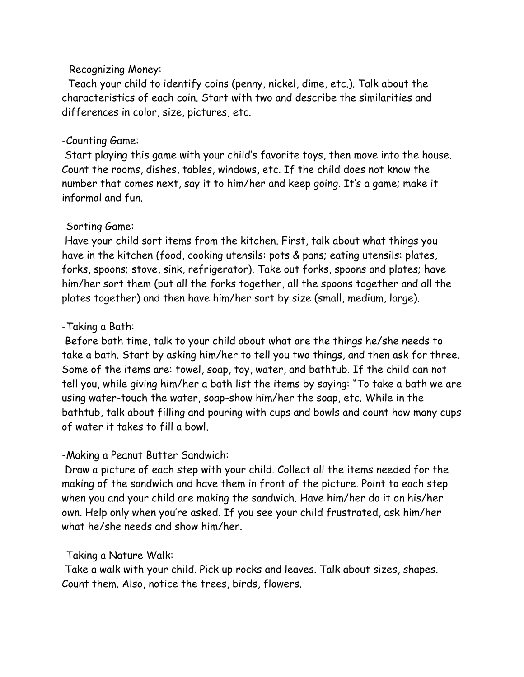### - Recognizing Money:

 Teach your child to identify coins (penny, nickel, dime, etc.). Talk about the characteristics of each coin. Start with two and describe the similarities and differences in color, size, pictures, etc.

### -Counting Game:

Start playing this game with your child's favorite toys, then move into the house. Count the rooms, dishes, tables, windows, etc. If the child does not know the number that comes next, say it to him/her and keep going. It's a game; make it informal and fun.

### -Sorting Game:

Have your child sort items from the kitchen. First, talk about what things you have in the kitchen (food, cooking utensils: pots & pans; eating utensils: plates, forks, spoons; stove, sink, refrigerator). Take out forks, spoons and plates; have him/her sort them (put all the forks together, all the spoons together and all the plates together) and then have him/her sort by size (small, medium, large).

## -Taking a Bath:

Before bath time, talk to your child about what are the things he/she needs to take a bath. Start by asking him/her to tell you two things, and then ask for three. Some of the items are: towel, soap, toy, water, and bathtub. If the child can not tell you, while giving him/her a bath list the items by saying: "To take a bath we are using water-touch the water, soap-show him/her the soap, etc. While in the bathtub, talk about filling and pouring with cups and bowls and count how many cups of water it takes to fill a bowl.

## -Making a Peanut Butter Sandwich:

Draw a picture of each step with your child. Collect all the items needed for the making of the sandwich and have them in front of the picture. Point to each step when you and your child are making the sandwich. Have him/her do it on his/her own. Help only when you're asked. If you see your child frustrated, ask him/her what he/she needs and show him/her.

# -Taking a Nature Walk:

Take a walk with your child. Pick up rocks and leaves. Talk about sizes, shapes. Count them. Also, notice the trees, birds, flowers.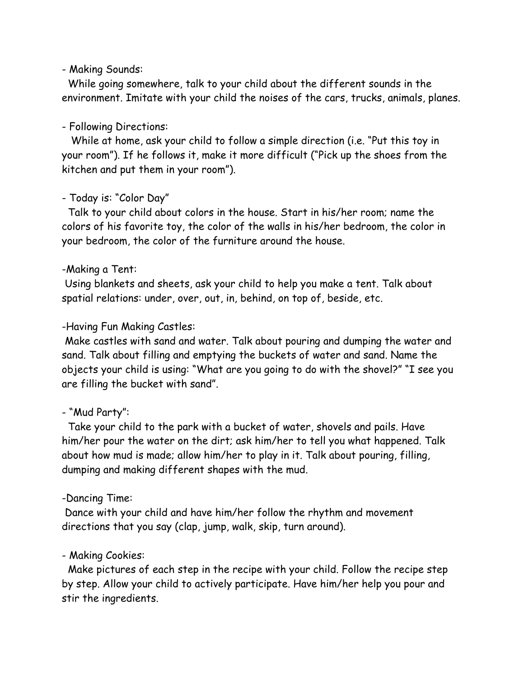### - Making Sounds:

 While going somewhere, talk to your child about the different sounds in the environment. Imitate with your child the noises of the cars, trucks, animals, planes.

## - Following Directions:

 While at home, ask your child to follow a simple direction (i.e. "Put this toy in your room"). If he follows it, make it more difficult ("Pick up the shoes from the kitchen and put them in your room").

## - Today is: "Color Day"

 Talk to your child about colors in the house. Start in his/her room; name the colors of his favorite toy, the color of the walls in his/her bedroom, the color in your bedroom, the color of the furniture around the house.

## -Making a Tent:

Using blankets and sheets, ask your child to help you make a tent. Talk about spatial relations: under, over, out, in, behind, on top of, beside, etc.

## -Having Fun Making Castles:

Make castles with sand and water. Talk about pouring and dumping the water and sand. Talk about filling and emptying the buckets of water and sand. Name the objects your child is using: "What are you going to do with the shovel?" "I see you are filling the bucket with sand".

# - "Mud Party":

 Take your child to the park with a bucket of water, shovels and pails. Have him/her pour the water on the dirt; ask him/her to tell you what happened. Talk about how mud is made; allow him/her to play in it. Talk about pouring, filling, dumping and making different shapes with the mud.

# -Dancing Time:

Dance with your child and have him/her follow the rhythm and movement directions that you say (clap, jump, walk, skip, turn around).

# - Making Cookies:

 Make pictures of each step in the recipe with your child. Follow the recipe step by step. Allow your child to actively participate. Have him/her help you pour and stir the ingredients.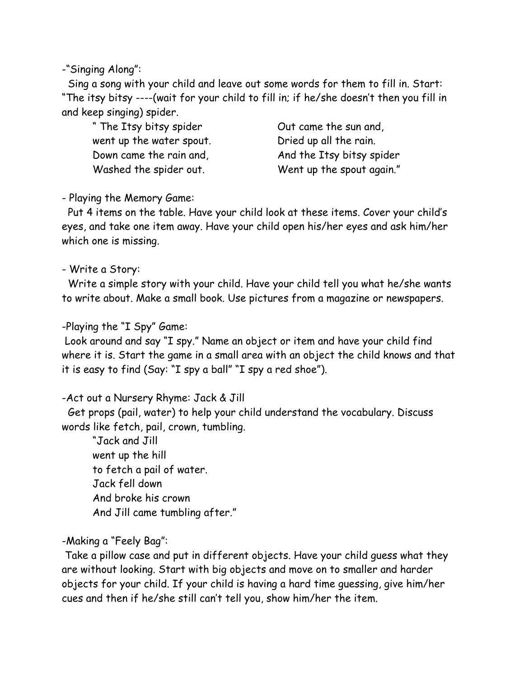-"Singing Along":

Sing a song with your child and leave out some words for them to fill in. Start: "The itsy bitsy ----(wait for your child to fill in; if he/she doesn't then you fill in and keep singing) spider.

" The Itsy bitsy spider Cut came the sun and, went up the water spout. Dried up all the rain.

Down came the rain and, and the Itsy bitsy spider Washed the spider out. Went up the spout again."

- Playing the Memory Game:

Put 4 items on the table. Have your child look at these items. Cover your child's eyes, and take one item away. Have your child open his/her eyes and ask him/her which one is missing.

- Write a Story:

 Write a simple story with your child. Have your child tell you what he/she wants to write about. Make a small book. Use pictures from a magazine or newspapers.

## -Playing the "I Spy" Game:

Look around and say "I spy." Name an object or item and have your child find where it is. Start the game in a small area with an object the child knows and that it is easy to find (Say: "I spy a ball" "I spy a red shoe").

-Act out a Nursery Rhyme: Jack & Jill

 Get props (pail, water) to help your child understand the vocabulary. Discuss words like fetch, pail, crown, tumbling.

"Jack and Jill went up the hill to fetch a pail of water. Jack fell down And broke his crown And Jill came tumbling after."

# -Making a "Feely Bag":

Take a pillow case and put in different objects. Have your child guess what they are without looking. Start with big objects and move on to smaller and harder objects for your child. If your child is having a hard time guessing, give him/her cues and then if he/she still can't tell you, show him/her the item.